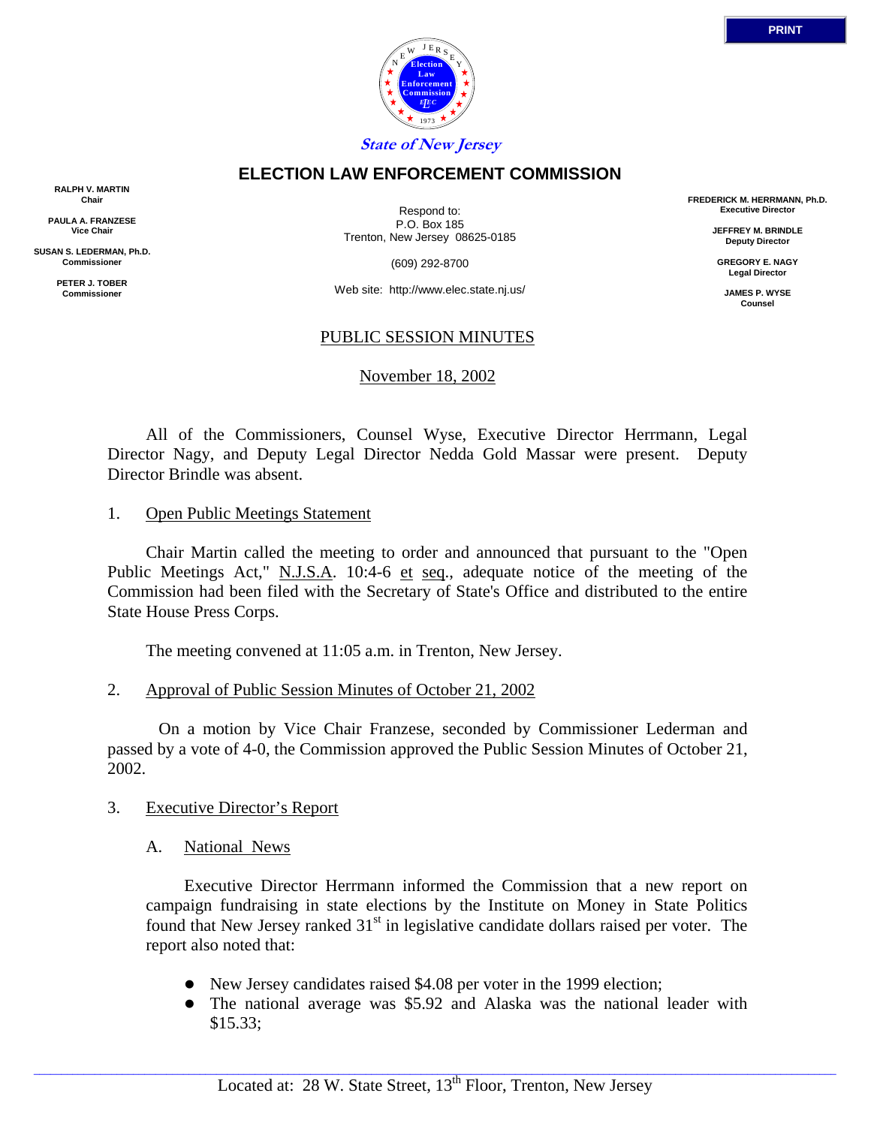

# **ELECTION LAW ENFORCEMENT COMMISSION**

**RALPH V. MARTIN Chair**

**PAULA A. FRANZESE Vice Chair**

**SUSAN S. LEDERMAN, Ph.D. Commissioner**

> **PETER J. TOBER Commissioner**

Respond to: P.O. Box 185 Trenton, New Jersey 08625-0185

(609) 292-8700

Web site: http://www.elec.state.nj.us/

## PUBLIC SESSION MINUTES

November 18, 2002

 All of the Commissioners, Counsel Wyse, Executive Director Herrmann, Legal Director Nagy, and Deputy Legal Director Nedda Gold Massar were present. Deputy Director Brindle was absent.

1. Open Public Meetings Statement

 Chair Martin called the meeting to order and announced that pursuant to the "Open Public Meetings Act," N.J.S.A. 10:4-6 et seq., adequate notice of the meeting of the Commission had been filed with the Secretary of State's Office and distributed to the entire State House Press Corps.

The meeting convened at 11:05 a.m. in Trenton, New Jersey.

2. Approval of Public Session Minutes of October 21, 2002

 On a motion by Vice Chair Franzese, seconded by Commissioner Lederman and passed by a vote of 4-0, the Commission approved the Public Session Minutes of October 21, 2002.

- 3. Executive Director's Report
	- A. National News

 Executive Director Herrmann informed the Commission that a new report on campaign fundraising in state elections by the Institute on Money in State Politics found that New Jersey ranked  $31<sup>st</sup>$  in legislative candidate dollars raised per voter. The report also noted that:

- New Jersey candidates raised \$4.08 per voter in the 1999 election;
- The national average was \$5.92 and Alaska was the national leader with \$15.33;

**FREDERICK M. HERRMANN, Ph.D. Executive Director JEFFREY M. BRINDLE Deputy Director GREGORY E. NAGY Legal Director JAMES P. WYSE Counsel**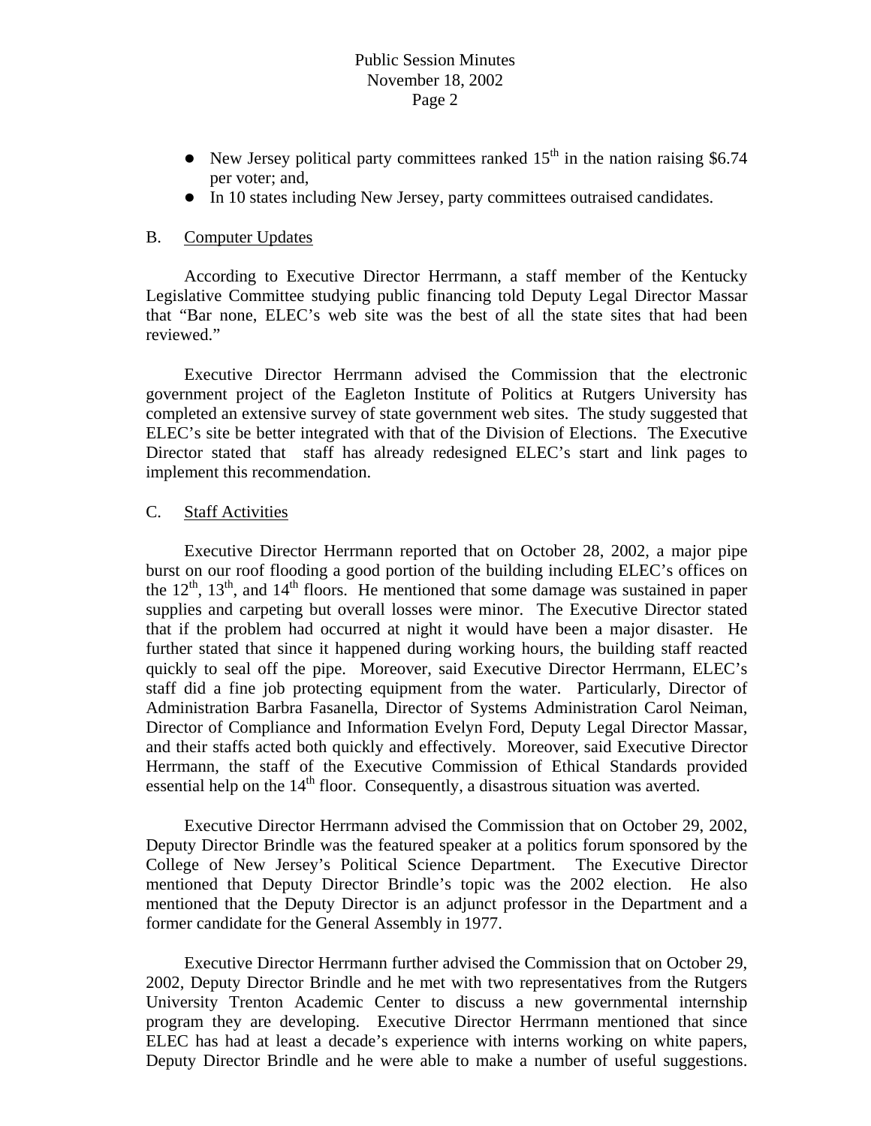## Public Session Minutes November 18, 2002 Page 2

- New Jersey political party committees ranked  $15<sup>th</sup>$  in the nation raising \$6.74 per voter; and,
- In 10 states including New Jersey, party committees outraised candidates.

#### B. Computer Updates

 According to Executive Director Herrmann, a staff member of the Kentucky Legislative Committee studying public financing told Deputy Legal Director Massar that "Bar none, ELEC's web site was the best of all the state sites that had been reviewed."

 Executive Director Herrmann advised the Commission that the electronic government project of the Eagleton Institute of Politics at Rutgers University has completed an extensive survey of state government web sites. The study suggested that ELEC's site be better integrated with that of the Division of Elections. The Executive Director stated that staff has already redesigned ELEC's start and link pages to implement this recommendation.

#### C. Staff Activities

 Executive Director Herrmann reported that on October 28, 2002, a major pipe burst on our roof flooding a good portion of the building including ELEC's offices on the  $12<sup>th</sup>$ ,  $13<sup>th</sup>$ , and  $14<sup>th</sup>$  floors. He mentioned that some damage was sustained in paper supplies and carpeting but overall losses were minor. The Executive Director stated that if the problem had occurred at night it would have been a major disaster. He further stated that since it happened during working hours, the building staff reacted quickly to seal off the pipe. Moreover, said Executive Director Herrmann, ELEC's staff did a fine job protecting equipment from the water. Particularly, Director of Administration Barbra Fasanella, Director of Systems Administration Carol Neiman, Director of Compliance and Information Evelyn Ford, Deputy Legal Director Massar, and their staffs acted both quickly and effectively. Moreover, said Executive Director Herrmann, the staff of the Executive Commission of Ethical Standards provided essential help on the  $14<sup>th</sup>$  floor. Consequently, a disastrous situation was averted.

 Executive Director Herrmann advised the Commission that on October 29, 2002, Deputy Director Brindle was the featured speaker at a politics forum sponsored by the College of New Jersey's Political Science Department. The Executive Director mentioned that Deputy Director Brindle's topic was the 2002 election. He also mentioned that the Deputy Director is an adjunct professor in the Department and a former candidate for the General Assembly in 1977.

 Executive Director Herrmann further advised the Commission that on October 29, 2002, Deputy Director Brindle and he met with two representatives from the Rutgers University Trenton Academic Center to discuss a new governmental internship program they are developing. Executive Director Herrmann mentioned that since ELEC has had at least a decade's experience with interns working on white papers, Deputy Director Brindle and he were able to make a number of useful suggestions.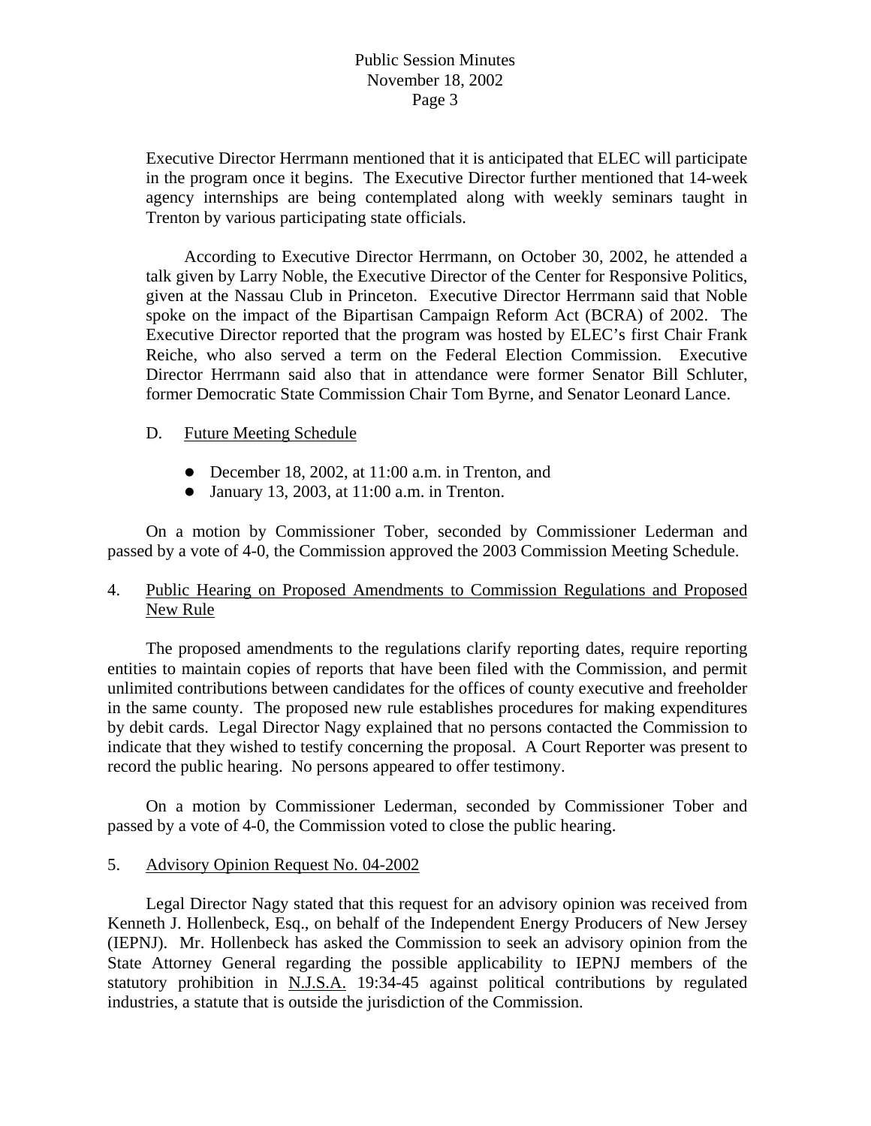Executive Director Herrmann mentioned that it is anticipated that ELEC will participate in the program once it begins. The Executive Director further mentioned that 14-week agency internships are being contemplated along with weekly seminars taught in Trenton by various participating state officials.

 According to Executive Director Herrmann, on October 30, 2002, he attended a talk given by Larry Noble, the Executive Director of the Center for Responsive Politics, given at the Nassau Club in Princeton. Executive Director Herrmann said that Noble spoke on the impact of the Bipartisan Campaign Reform Act (BCRA) of 2002. The Executive Director reported that the program was hosted by ELEC's first Chair Frank Reiche, who also served a term on the Federal Election Commission. Executive Director Herrmann said also that in attendance were former Senator Bill Schluter, former Democratic State Commission Chair Tom Byrne, and Senator Leonard Lance.

#### D. Future Meeting Schedule

- December 18, 2002, at  $11:00$  a.m. in Trenton, and
- $\bullet$  January 13, 2003, at 11:00 a.m. in Trenton.

 On a motion by Commissioner Tober, seconded by Commissioner Lederman and passed by a vote of 4-0, the Commission approved the 2003 Commission Meeting Schedule.

## 4. Public Hearing on Proposed Amendments to Commission Regulations and Proposed New Rule

 The proposed amendments to the regulations clarify reporting dates, require reporting entities to maintain copies of reports that have been filed with the Commission, and permit unlimited contributions between candidates for the offices of county executive and freeholder in the same county. The proposed new rule establishes procedures for making expenditures by debit cards. Legal Director Nagy explained that no persons contacted the Commission to indicate that they wished to testify concerning the proposal. A Court Reporter was present to record the public hearing. No persons appeared to offer testimony.

 On a motion by Commissioner Lederman, seconded by Commissioner Tober and passed by a vote of 4-0, the Commission voted to close the public hearing.

### 5. Advisory Opinion Request No. 04-2002

 Legal Director Nagy stated that this request for an advisory opinion was received from Kenneth J. Hollenbeck, Esq., on behalf of the Independent Energy Producers of New Jersey (IEPNJ). Mr. Hollenbeck has asked the Commission to seek an advisory opinion from the State Attorney General regarding the possible applicability to IEPNJ members of the statutory prohibition in N.J.S.A. 19:34-45 against political contributions by regulated industries, a statute that is outside the jurisdiction of the Commission.